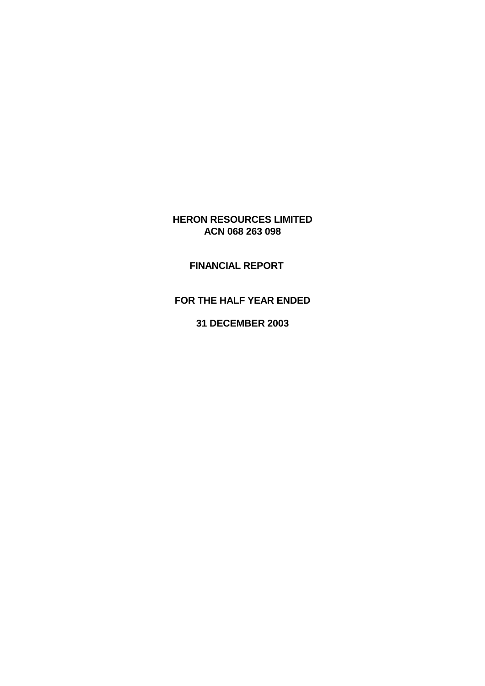# **HERON RESOURCES LIMITED ACN 068 263 098**

# **FINANCIAL REPORT**

# **FOR THE HALF YEAR ENDED**

**31 DECEMBER 2003**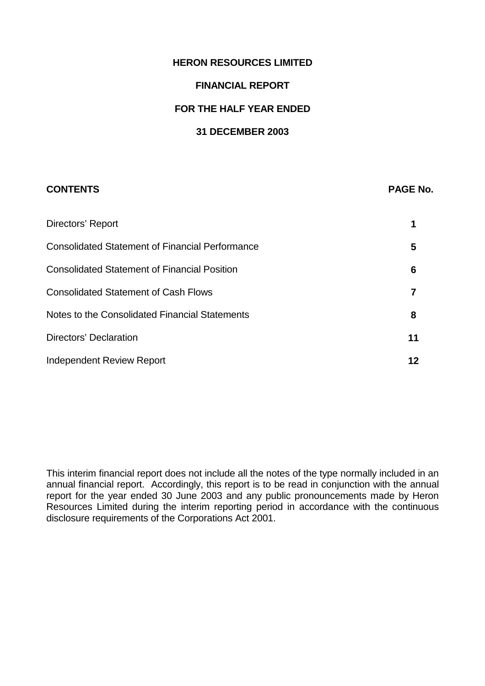# **HERON RESOURCES LIMITED**

#### **FINANCIAL REPORT**

#### **FOR THE HALF YEAR ENDED**

#### **31 DECEMBER 2003**

# **CONTENTS PAGE No.**

| Directors' Report                                      |    |
|--------------------------------------------------------|----|
| <b>Consolidated Statement of Financial Performance</b> | 5  |
| <b>Consolidated Statement of Financial Position</b>    | 6  |
| <b>Consolidated Statement of Cash Flows</b>            |    |
| Notes to the Consolidated Financial Statements         | 8  |
| Directors' Declaration                                 | 11 |
| Independent Review Report                              | 12 |

This interim financial report does not include all the notes of the type normally included in an annual financial report. Accordingly, this report is to be read in conjunction with the annual report for the year ended 30 June 2003 and any public pronouncements made by Heron Resources Limited during the interim reporting period in accordance with the continuous disclosure requirements of the Corporations Act 2001.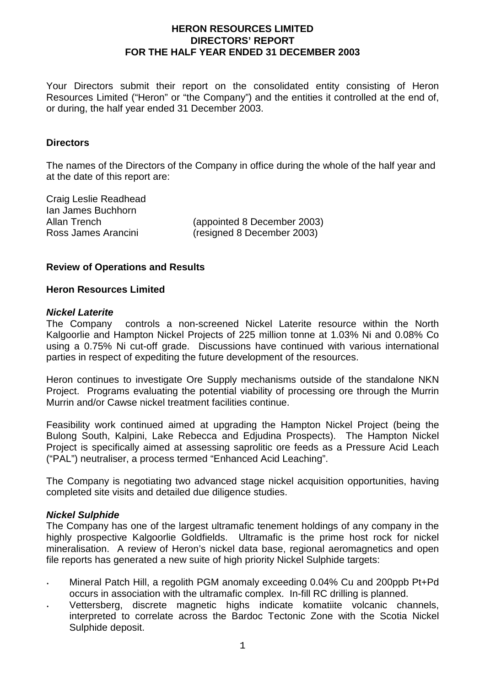Your Directors submit their report on the consolidated entity consisting of Heron Resources Limited ("Heron" or "the Company") and the entities it controlled at the end of, or during, the half year ended 31 December 2003.

#### **Directors**

The names of the Directors of the Company in office during the whole of the half year and at the date of this report are:

Craig Leslie Readhead Ian James Buchhorn

Allan Trench (appointed 8 December 2003) Ross James Arancini (resigned 8 December 2003)

#### **Review of Operations and Results**

#### **Heron Resources Limited**

#### *Nickel Laterite*

The Company controls a non-screened Nickel Laterite resource within the North Kalgoorlie and Hampton Nickel Projects of 225 million tonne at 1.03% Ni and 0.08% Co using a 0.75% Ni cut-off grade. Discussions have continued with various international parties in respect of expediting the future development of the resources.

Heron continues to investigate Ore Supply mechanisms outside of the standalone NKN Project. Programs evaluating the potential viability of processing ore through the Murrin Murrin and/or Cawse nickel treatment facilities continue.

Feasibility work continued aimed at upgrading the Hampton Nickel Project (being the Bulong South, Kalpini, Lake Rebecca and Edjudina Prospects). The Hampton Nickel Project is specifically aimed at assessing saprolitic ore feeds as a Pressure Acid Leach ("PAL") neutraliser, a process termed "Enhanced Acid Leaching".

The Company is negotiating two advanced stage nickel acquisition opportunities, having completed site visits and detailed due diligence studies.

#### *Nickel Sulphide*

The Company has one of the largest ultramafic tenement holdings of any company in the highly prospective Kalgoorlie Goldfields. Ultramafic is the prime host rock for nickel mineralisation. A review of Heron's nickel data base, regional aeromagnetics and open file reports has generated a new suite of high priority Nickel Sulphide targets:

- Mineral Patch Hill, a regolith PGM anomaly exceeding 0.04% Cu and 200ppb Pt+Pd occurs in association with the ultramafic complex. In-fill RC drilling is planned.
- Vettersberg, discrete magnetic highs indicate komatiite volcanic channels, interpreted to correlate across the Bardoc Tectonic Zone with the Scotia Nickel Sulphide deposit.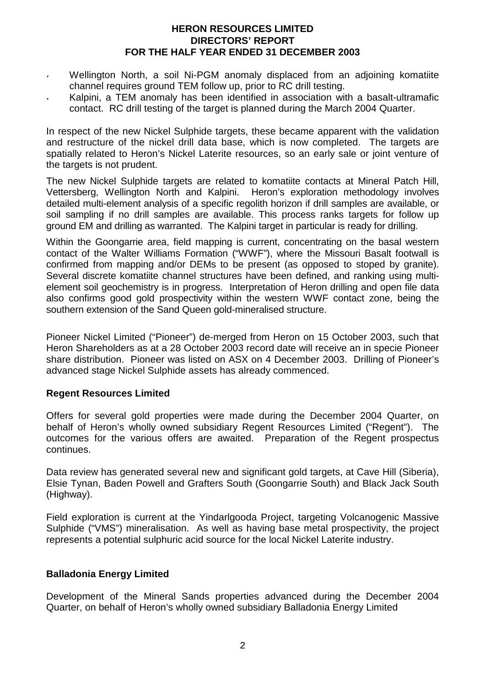- Wellington North, a soil Ni-PGM anomaly displaced from an adjoining komatiite channel requires ground TEM follow up, prior to RC drill testing.
- Kalpini, a TEM anomaly has been identified in association with a basalt-ultramafic contact. RC drill testing of the target is planned during the March 2004 Quarter.

In respect of the new Nickel Sulphide targets, these became apparent with the validation and restructure of the nickel drill data base, which is now completed. The targets are spatially related to Heron's Nickel Laterite resources, so an early sale or joint venture of the targets is not prudent.

The new Nickel Sulphide targets are related to komatiite contacts at Mineral Patch Hill, Vettersberg, Wellington North and Kalpini. Heron's exploration methodology involves detailed multi-element analysis of a specific regolith horizon if drill samples are available, or soil sampling if no drill samples are available. This process ranks targets for follow up ground EM and drilling as warranted. The Kalpini target in particular is ready for drilling.

Within the Goongarrie area, field mapping is current, concentrating on the basal western contact of the Walter Williams Formation ("WWF"), where the Missouri Basalt footwall is confirmed from mapping and/or DEMs to be present (as opposed to stoped by granite). Several discrete komatiite channel structures have been defined, and ranking using multielement soil geochemistry is in progress. Interpretation of Heron drilling and open file data also confirms good gold prospectivity within the western WWF contact zone, being the southern extension of the Sand Queen gold-mineralised structure.

Pioneer Nickel Limited ("Pioneer") de-merged from Heron on 15 October 2003, such that Heron Shareholders as at a 28 October 2003 record date will receive an in specie Pioneer share distribution. Pioneer was listed on ASX on 4 December 2003. Drilling of Pioneer's advanced stage Nickel Sulphide assets has already commenced.

## **Regent Resources Limited**

Offers for several gold properties were made during the December 2004 Quarter, on behalf of Heron's wholly owned subsidiary Regent Resources Limited ("Regent"). The outcomes for the various offers are awaited. Preparation of the Regent prospectus continues.

Data review has generated several new and significant gold targets, at Cave Hill (Siberia), Elsie Tynan, Baden Powell and Grafters South (Goongarrie South) and Black Jack South (Highway).

Field exploration is current at the Yindarlgooda Project, targeting Volcanogenic Massive Sulphide ("VMS") mineralisation. As well as having base metal prospectivity, the project represents a potential sulphuric acid source for the local Nickel Laterite industry.

## **Balladonia Energy Limited**

Development of the Mineral Sands properties advanced during the December 2004 Quarter, on behalf of Heron's wholly owned subsidiary Balladonia Energy Limited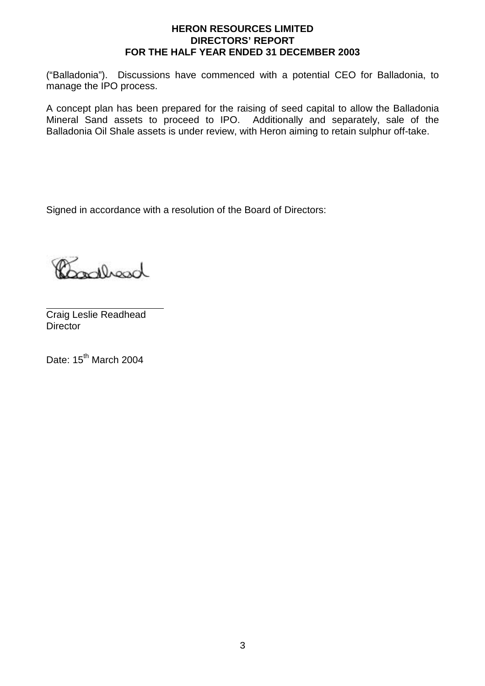("Balladonia"). Discussions have commenced with a potential CEO for Balladonia, to manage the IPO process.

A concept plan has been prepared for the raising of seed capital to allow the Balladonia Mineral Sand assets to proceed to IPO. Additionally and separately, sale of the Balladonia Oil Shale assets is under review, with Heron aiming to retain sulphur off-take.

Signed in accordance with a resolution of the Board of Directors:

deedlacad

 $\overline{a}$ Craig Leslie Readhead **Director** 

Date: 15<sup>th</sup> March 2004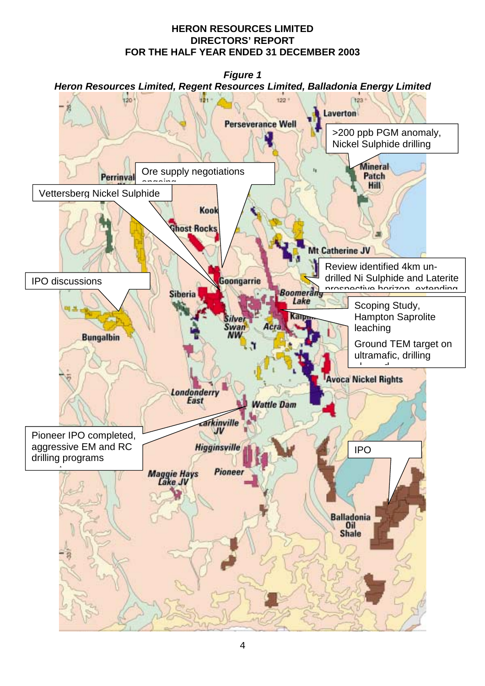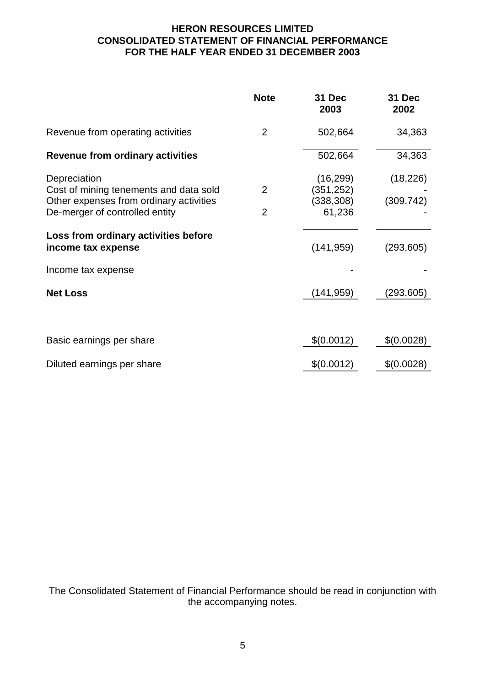# **HERON RESOURCES LIMITED CONSOLIDATED STATEMENT OF FINANCIAL PERFORMANCE FOR THE HALF YEAR ENDED 31 DECEMBER 2003**

|                                                                                                                                     | <b>Note</b>                      | 31 Dec<br>2003                                  | 31 Dec<br>2002          |
|-------------------------------------------------------------------------------------------------------------------------------------|----------------------------------|-------------------------------------------------|-------------------------|
| Revenue from operating activities                                                                                                   | $\overline{2}$                   | 502,664                                         | 34,363                  |
| <b>Revenue from ordinary activities</b>                                                                                             |                                  | 502,664                                         | 34,363                  |
| Depreciation<br>Cost of mining tenements and data sold<br>Other expenses from ordinary activities<br>De-merger of controlled entity | $\overline{2}$<br>$\overline{2}$ | (16, 299)<br>(351, 252)<br>(338, 308)<br>61,236 | (18, 226)<br>(309, 742) |
| Loss from ordinary activities before<br>income tax expense                                                                          |                                  | (141, 959)                                      | (293, 605)              |
| Income tax expense                                                                                                                  |                                  |                                                 |                         |
| <b>Net Loss</b>                                                                                                                     |                                  | (141, 959)                                      | (293, 605)              |
| Basic earnings per share                                                                                                            |                                  | \$(0.0012)                                      | \$(0.0028)              |
| Diluted earnings per share                                                                                                          |                                  | \$(0.0012)                                      | \$(0.0028)              |

The Consolidated Statement of Financial Performance should be read in conjunction with the accompanying notes.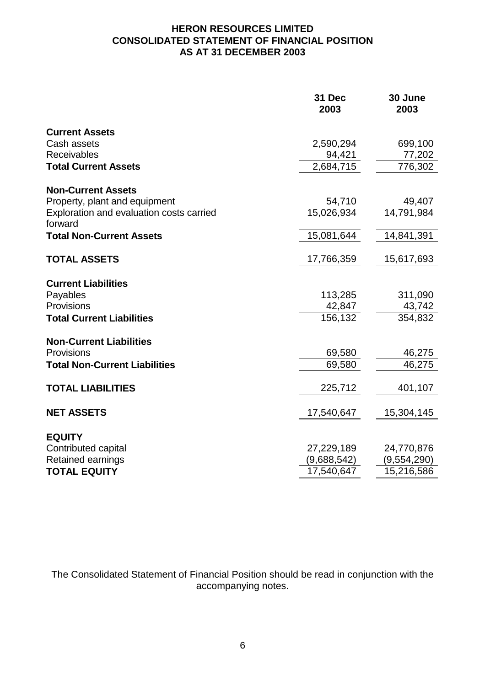# **HERON RESOURCES LIMITED CONSOLIDATED STATEMENT OF FINANCIAL POSITION AS AT 31 DECEMBER 2003**

| <b>Current Assets</b><br>Cash assets<br>2,590,294<br>Receivables<br>94,421<br>2,684,715<br><b>Total Current Assets</b><br><b>Non-Current Assets</b> | 699,100<br>77,202<br>776,302<br>49,407<br>14,791,984<br>14,841,391 |
|-----------------------------------------------------------------------------------------------------------------------------------------------------|--------------------------------------------------------------------|
|                                                                                                                                                     |                                                                    |
|                                                                                                                                                     |                                                                    |
|                                                                                                                                                     |                                                                    |
|                                                                                                                                                     |                                                                    |
|                                                                                                                                                     |                                                                    |
| Property, plant and equipment<br>54,710                                                                                                             |                                                                    |
| Exploration and evaluation costs carried<br>15,026,934<br>forward                                                                                   |                                                                    |
| 15,081,644<br><b>Total Non-Current Assets</b>                                                                                                       |                                                                    |
| <b>TOTAL ASSETS</b><br>17,766,359                                                                                                                   | 15,617,693                                                         |
| <b>Current Liabilities</b>                                                                                                                          |                                                                    |
| Payables<br>113,285                                                                                                                                 | 311,090                                                            |
| Provisions<br>42,847                                                                                                                                | 43,742                                                             |
| <b>Total Current Liabilities</b><br>156,132                                                                                                         | 354,832                                                            |
| <b>Non-Current Liabilities</b>                                                                                                                      |                                                                    |
| Provisions<br>69,580                                                                                                                                | 46,275                                                             |
| <b>Total Non-Current Liabilities</b><br>69,580                                                                                                      | 46,275                                                             |
| <b>TOTAL LIABILITIES</b><br>225,712                                                                                                                 | 401,107                                                            |
| <b>NET ASSETS</b><br>17,540,647                                                                                                                     | 15,304,145                                                         |
|                                                                                                                                                     |                                                                    |
| <b>EQUITY</b><br>Contributed capital<br>27,229,189                                                                                                  | 24,770,876                                                         |
| <b>Retained earnings</b><br>(9,688,542)                                                                                                             | (9,554,290)                                                        |
| 17,540,647<br><b>TOTAL EQUITY</b>                                                                                                                   | 15,216,586                                                         |

The Consolidated Statement of Financial Position should be read in conjunction with the accompanying notes.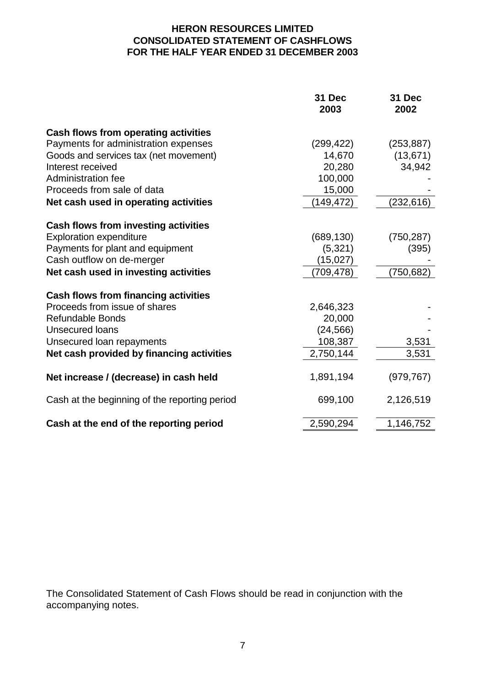# **HERON RESOURCES LIMITED CONSOLIDATED STATEMENT OF CASHFLOWS FOR THE HALF YEAR ENDED 31 DECEMBER 2003**

|                                               | 31 Dec<br>2003 | 31 Dec<br>2002 |
|-----------------------------------------------|----------------|----------------|
| Cash flows from operating activities          |                |                |
| Payments for administration expenses          | (299, 422)     | (253, 887)     |
| Goods and services tax (net movement)         | 14,670         | (13, 671)      |
| Interest received                             | 20,280         | 34,942         |
| Administration fee                            | 100,000        |                |
| Proceeds from sale of data                    | 15,000         |                |
| Net cash used in operating activities         | 149,472)       | (232, 616)     |
| Cash flows from investing activities          |                |                |
| <b>Exploration expenditure</b>                | (689, 130)     | (750, 287)     |
| Payments for plant and equipment              | (5,321)        | (395)          |
| Cash outflow on de-merger                     | (15,027)       |                |
| Net cash used in investing activities         | (709, 478)     | (750, 682)     |
| <b>Cash flows from financing activities</b>   |                |                |
| Proceeds from issue of shares                 | 2,646,323      |                |
| <b>Refundable Bonds</b>                       | 20,000         |                |
| <b>Unsecured loans</b>                        | (24, 566)      |                |
| Unsecured loan repayments                     | 108,387        | 3,531          |
| Net cash provided by financing activities     | 2,750,144      | 3,531          |
| Net increase / (decrease) in cash held        | 1,891,194      | (979, 767)     |
|                                               |                |                |
| Cash at the beginning of the reporting period | 699,100        | 2,126,519      |
| Cash at the end of the reporting period       | 2,590,294      | 1,146,752      |

The Consolidated Statement of Cash Flows should be read in conjunction with the accompanying notes.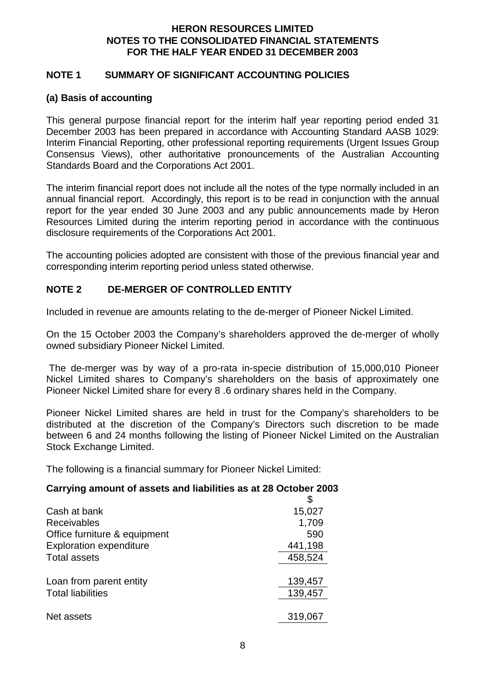# **HERON RESOURCES LIMITED NOTES TO THE CONSOLIDATED FINANCIAL STATEMENTS FOR THE HALF YEAR ENDED 31 DECEMBER 2003**

#### **NOTE 1 SUMMARY OF SIGNIFICANT ACCOUNTING POLICIES**

#### **(a) Basis of accounting**

This general purpose financial report for the interim half year reporting period ended 31 December 2003 has been prepared in accordance with Accounting Standard AASB 1029: Interim Financial Reporting, other professional reporting requirements (Urgent Issues Group Consensus Views), other authoritative pronouncements of the Australian Accounting Standards Board and the Corporations Act 2001.

The interim financial report does not include all the notes of the type normally included in an annual financial report. Accordingly, this report is to be read in conjunction with the annual report for the year ended 30 June 2003 and any public announcements made by Heron Resources Limited during the interim reporting period in accordance with the continuous disclosure requirements of the Corporations Act 2001.

The accounting policies adopted are consistent with those of the previous financial year and corresponding interim reporting period unless stated otherwise.

# **NOTE 2 DE-MERGER OF CONTROLLED ENTITY**

Included in revenue are amounts relating to the de-merger of Pioneer Nickel Limited.

On the 15 October 2003 the Company's shareholders approved the de-merger of wholly owned subsidiary Pioneer Nickel Limited.

 The de-merger was by way of a pro-rata in-specie distribution of 15,000,010 Pioneer Nickel Limited shares to Company's shareholders on the basis of approximately one Pioneer Nickel Limited share for every 8 .6 ordinary shares held in the Company.

Pioneer Nickel Limited shares are held in trust for the Company's shareholders to be distributed at the discretion of the Company's Directors such discretion to be made between 6 and 24 months following the listing of Pioneer Nickel Limited on the Australian Stock Exchange Limited.

The following is a financial summary for Pioneer Nickel Limited:

#### **Carrying amount of assets and liabilities as at 28 October 2003**

|                                | \$      |
|--------------------------------|---------|
| Cash at bank                   | 15,027  |
| <b>Receivables</b>             | 1,709   |
| Office furniture & equipment   | 590     |
| <b>Exploration expenditure</b> | 441,198 |
| <b>Total assets</b>            | 458,524 |
|                                |         |
| Loan from parent entity        | 139,457 |
| <b>Total liabilities</b>       | 139,457 |
|                                |         |
| Net assets                     | 319,067 |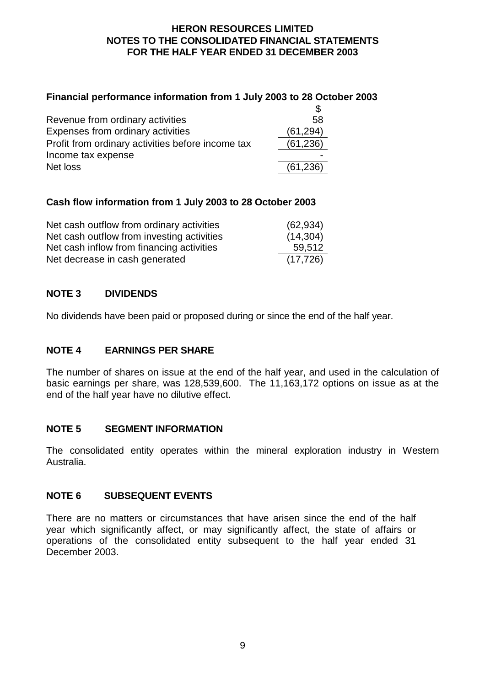# **HERON RESOURCES LIMITED NOTES TO THE CONSOLIDATED FINANCIAL STATEMENTS FOR THE HALF YEAR ENDED 31 DECEMBER 2003**

# **Financial performance information from 1 July 2003 to 28 October 2003**

| Revenue from ordinary activities                  | .58       |
|---------------------------------------------------|-----------|
| Expenses from ordinary activities                 | (61, 294) |
| Profit from ordinary activities before income tax | (61, 236) |
| Income tax expense                                |           |
| Net loss                                          | (61, 236) |

# **Cash flow information from 1 July 2003 to 28 October 2003**

| Net cash outflow from ordinary activities  | (62, 934) |
|--------------------------------------------|-----------|
| Net cash outflow from investing activities | (14, 304) |
| Net cash inflow from financing activities  | 59,512    |
| Net decrease in cash generated             | (17, 726) |

# **NOTE 3 DIVIDENDS**

No dividends have been paid or proposed during or since the end of the half year.

# **NOTE 4 EARNINGS PER SHARE**

The number of shares on issue at the end of the half year, and used in the calculation of basic earnings per share, was 128,539,600. The 11,163,172 options on issue as at the end of the half year have no dilutive effect.

# **NOTE 5 SEGMENT INFORMATION**

The consolidated entity operates within the mineral exploration industry in Western Australia.

# **NOTE 6 SUBSEQUENT EVENTS**

There are no matters or circumstances that have arisen since the end of the half year which significantly affect, or may significantly affect, the state of affairs or operations of the consolidated entity subsequent to the half year ended 31 December 2003.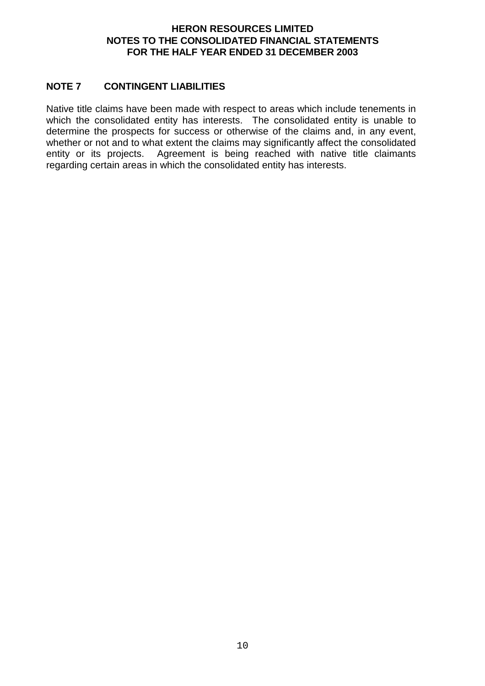# **HERON RESOURCES LIMITED NOTES TO THE CONSOLIDATED FINANCIAL STATEMENTS FOR THE HALF YEAR ENDED 31 DECEMBER 2003**

# **NOTE 7 CONTINGENT LIABILITIES**

Native title claims have been made with respect to areas which include tenements in which the consolidated entity has interests. The consolidated entity is unable to determine the prospects for success or otherwise of the claims and, in any event, whether or not and to what extent the claims may significantly affect the consolidated entity or its projects. Agreement is being reached with native title claimants regarding certain areas in which the consolidated entity has interests.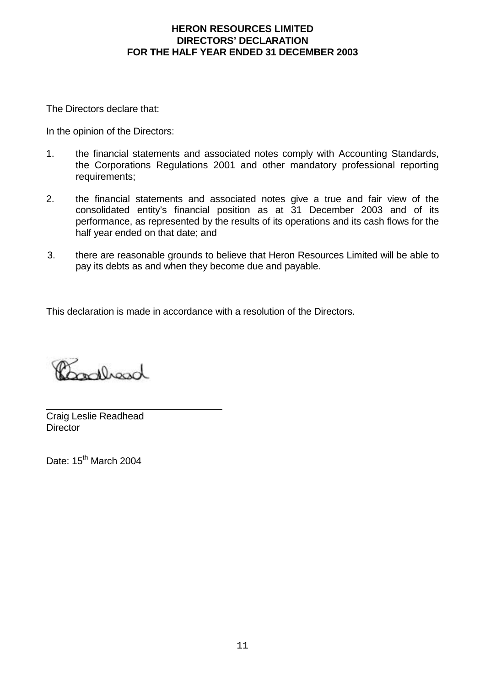The Directors declare that:

In the opinion of the Directors:

- 1. the financial statements and associated notes comply with Accounting Standards, the Corporations Regulations 2001 and other mandatory professional reporting requirements:
- 2. the financial statements and associated notes give a true and fair view of the consolidated entity's financial position as at 31 December 2003 and of its performance, as represented by the results of its operations and its cash flows for the half year ended on that date; and
- 3. there are reasonable grounds to believe that Heron Resources Limited will be able to pay its debts as and when they become due and payable.

This declaration is made in accordance with a resolution of the Directors.

andhand

Craig Leslie Readhead **Director** 

Date: 15<sup>th</sup> March 2004